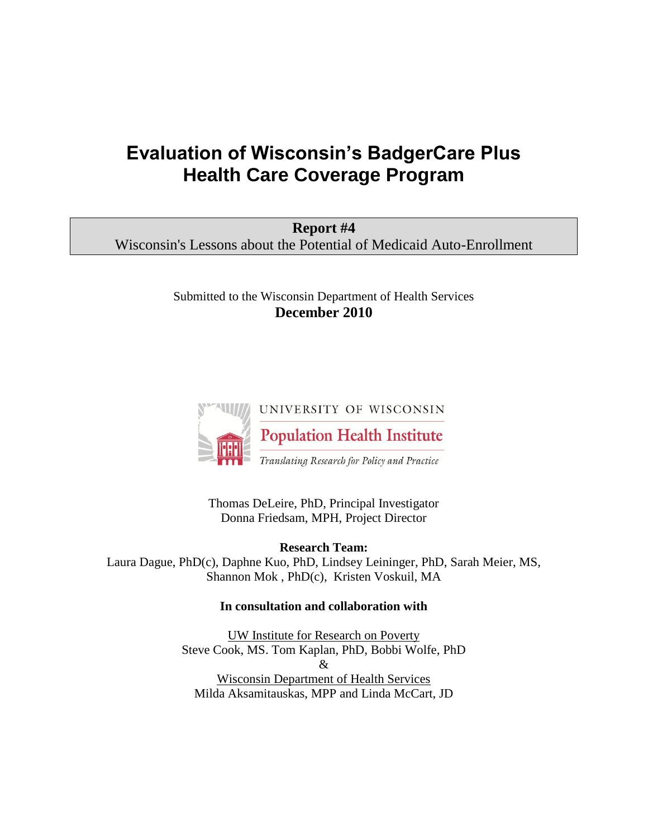# **Evaluation of Wisconsin's BadgerCare Plus Health Care Coverage Program**

| Report #4                                                           |  |
|---------------------------------------------------------------------|--|
| Wisconsin's Lessons about the Potential of Medicaid Auto-Enrollment |  |

## Submitted to the Wisconsin Department of Health Services **December 2010**



Thomas DeLeire, PhD, Principal Investigator Donna Friedsam, MPH, Project Director

**Research Team:**  Laura Dague, PhD(c), Daphne Kuo, PhD, Lindsey Leininger, PhD, Sarah Meier, MS, Shannon Mok , PhD(c), Kristen Voskuil, MA

### **In consultation and collaboration with**

UW Institute for Research on Poverty Steve Cook, MS. Tom Kaplan, PhD, Bobbi Wolfe, PhD & Wisconsin Department of Health Services Milda Aksamitauskas, MPP and Linda McCart, JD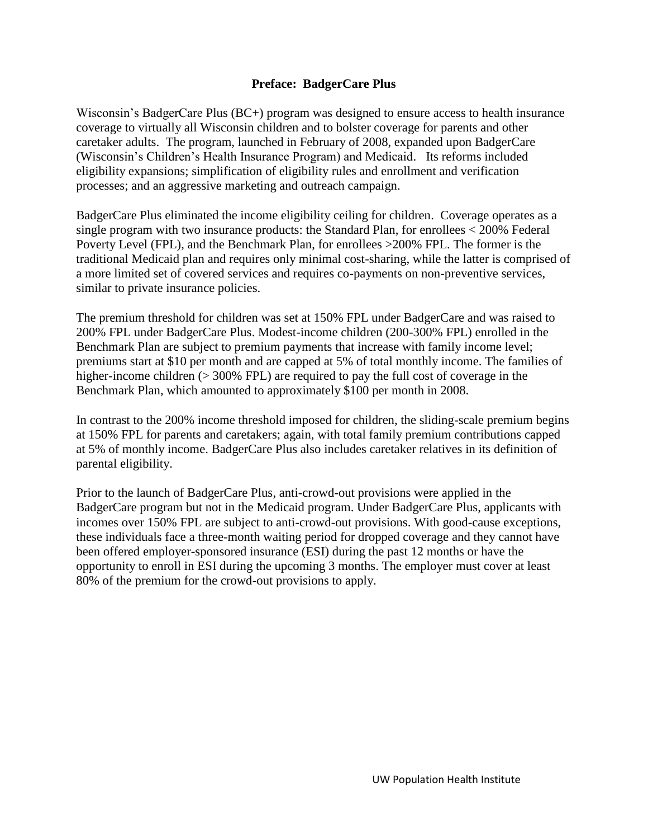## **Preface: BadgerCare Plus**

Wisconsin's BadgerCare Plus (BC+) program was designed to ensure access to health insurance coverage to virtually all Wisconsin children and to bolster coverage for parents and other caretaker adults. The program, launched in February of 2008, expanded upon BadgerCare (Wisconsin's Children's Health Insurance Program) and Medicaid. Its reforms included eligibility expansions; simplification of eligibility rules and enrollment and verification processes; and an aggressive marketing and outreach campaign.

BadgerCare Plus eliminated the income eligibility ceiling for children. Coverage operates as a single program with two insurance products: the Standard Plan, for enrollees < 200% Federal Poverty Level (FPL), and the Benchmark Plan, for enrollees >200% FPL. The former is the traditional Medicaid plan and requires only minimal cost-sharing, while the latter is comprised of a more limited set of covered services and requires co-payments on non-preventive services, similar to private insurance policies.

The premium threshold for children was set at 150% FPL under BadgerCare and was raised to 200% FPL under BadgerCare Plus. Modest-income children (200-300% FPL) enrolled in the Benchmark Plan are subject to premium payments that increase with family income level; premiums start at \$10 per month and are capped at 5% of total monthly income. The families of higher-income children (> 300% FPL) are required to pay the full cost of coverage in the Benchmark Plan, which amounted to approximately \$100 per month in 2008.

In contrast to the 200% income threshold imposed for children, the sliding-scale premium begins at 150% FPL for parents and caretakers; again, with total family premium contributions capped at 5% of monthly income. BadgerCare Plus also includes caretaker relatives in its definition of parental eligibility.

Prior to the launch of BadgerCare Plus, anti-crowd-out provisions were applied in the BadgerCare program but not in the Medicaid program. Under BadgerCare Plus, applicants with incomes over 150% FPL are subject to anti-crowd-out provisions. With good-cause exceptions, these individuals face a three-month waiting period for dropped coverage and they cannot have been offered employer-sponsored insurance (ESI) during the past 12 months or have the opportunity to enroll in ESI during the upcoming 3 months. The employer must cover at least 80% of the premium for the crowd-out provisions to apply.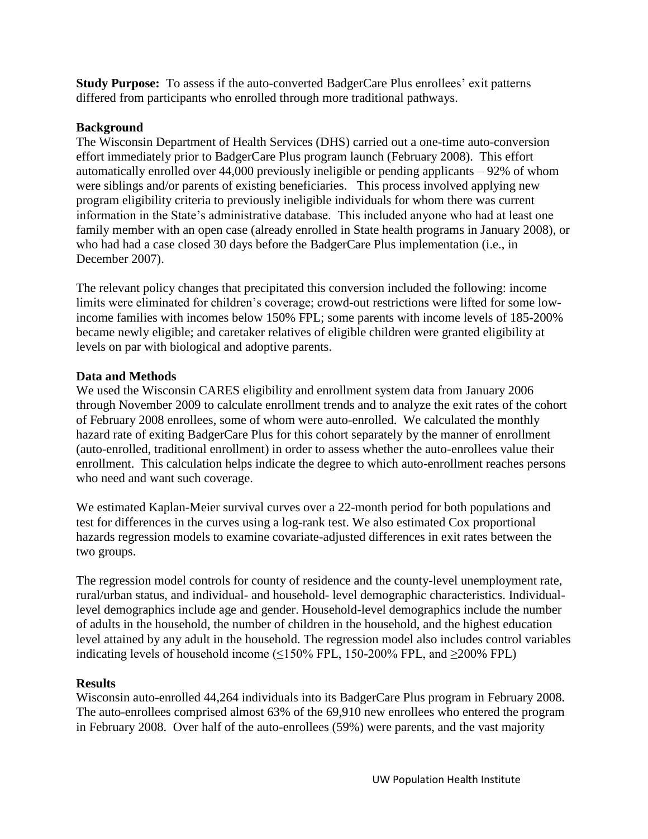**Study Purpose:** To assess if the auto-converted BadgerCare Plus enrollees' exit patterns differed from participants who enrolled through more traditional pathways.

## **Background**

The Wisconsin Department of Health Services (DHS) carried out a one-time auto-conversion effort immediately prior to BadgerCare Plus program launch (February 2008). This effort automatically enrolled over 44,000 previously ineligible or pending applicants – 92% of whom were siblings and/or parents of existing beneficiaries. This process involved applying new program eligibility criteria to previously ineligible individuals for whom there was current information in the State's administrative database. This included anyone who had at least one family member with an open case (already enrolled in State health programs in January 2008), or who had had a case closed 30 days before the BadgerCare Plus implementation (i.e., in December 2007).

The relevant policy changes that precipitated this conversion included the following: income limits were eliminated for children's coverage; crowd-out restrictions were lifted for some lowincome families with incomes below 150% FPL; some parents with income levels of 185-200% became newly eligible; and caretaker relatives of eligible children were granted eligibility at levels on par with biological and adoptive parents.

## **Data and Methods**

We used the Wisconsin CARES eligibility and enrollment system data from January 2006 through November 2009 to calculate enrollment trends and to analyze the exit rates of the cohort of February 2008 enrollees, some of whom were auto-enrolled. We calculated the monthly hazard rate of exiting BadgerCare Plus for this cohort separately by the manner of enrollment (auto-enrolled, traditional enrollment) in order to assess whether the auto-enrollees value their enrollment. This calculation helps indicate the degree to which auto-enrollment reaches persons who need and want such coverage.

We estimated Kaplan-Meier survival curves over a 22-month period for both populations and test for differences in the curves using a log-rank test. We also estimated Cox proportional hazards regression models to examine covariate-adjusted differences in exit rates between the two groups.

The regression model controls for county of residence and the county-level unemployment rate, rural/urban status, and individual- and household- level demographic characteristics. Individuallevel demographics include age and gender. Household-level demographics include the number of adults in the household, the number of children in the household, and the highest education level attained by any adult in the household. The regression model also includes control variables indicating levels of household income ( $\leq$ 150% FPL, 150-200% FPL, and  $\geq$ 200% FPL)

# **Results**

Wisconsin auto-enrolled 44,264 individuals into its BadgerCare Plus program in February 2008. The auto-enrollees comprised almost 63% of the 69,910 new enrollees who entered the program in February 2008. Over half of the auto-enrollees (59%) were parents, and the vast majority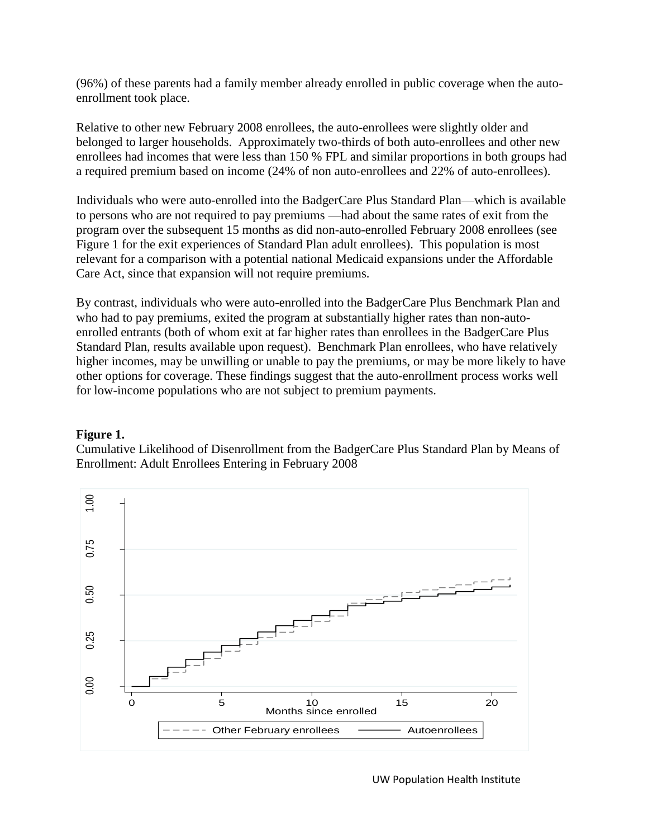(96%) of these parents had a family member already enrolled in public coverage when the autoenrollment took place.

Relative to other new February 2008 enrollees, the auto-enrollees were slightly older and belonged to larger households. Approximately two-thirds of both auto-enrollees and other new enrollees had incomes that were less than 150 % FPL and similar proportions in both groups had a required premium based on income (24% of non auto-enrollees and 22% of auto-enrollees).

Individuals who were auto-enrolled into the BadgerCare Plus Standard Plan—which is available to persons who are not required to pay premiums —had about the same rates of exit from the program over the subsequent 15 months as did non-auto-enrolled February 2008 enrollees (see Figure 1 for the exit experiences of Standard Plan adult enrollees). This population is most relevant for a comparison with a potential national Medicaid expansions under the Affordable Care Act, since that expansion will not require premiums.

By contrast, individuals who were auto-enrolled into the BadgerCare Plus Benchmark Plan and who had to pay premiums, exited the program at substantially higher rates than non-autoenrolled entrants (both of whom exit at far higher rates than enrollees in the BadgerCare Plus Standard Plan, results available upon request). Benchmark Plan enrollees, who have relatively higher incomes, may be unwilling or unable to pay the premiums, or may be more likely to have other options for coverage. These findings suggest that the auto-enrollment process works well for low-income populations who are not subject to premium payments.

### **Figure 1.**

Cumulative Likelihood of Disenrollment from the BadgerCare Plus Standard Plan by Means of Enrollment: Adult Enrollees Entering in February 2008



UW Population Health Institute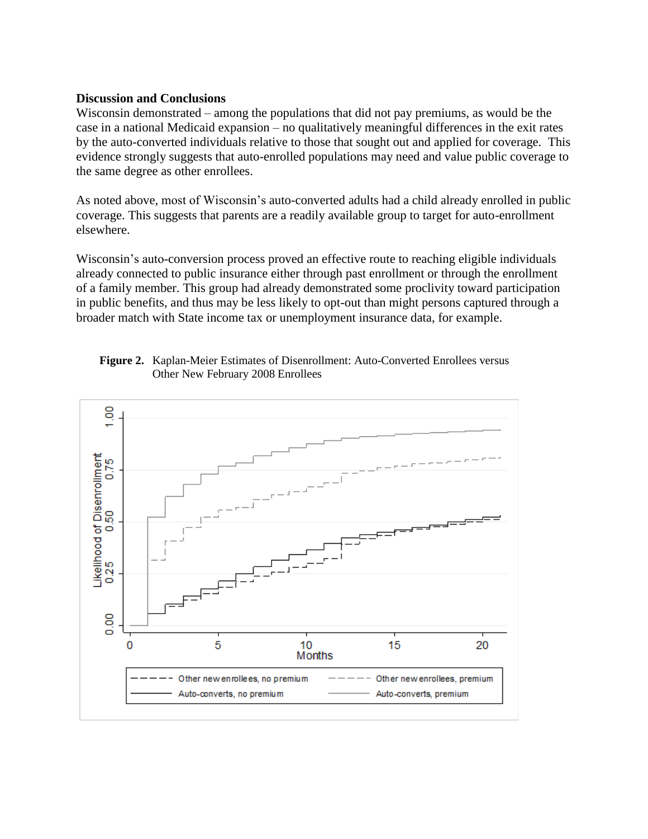#### **Discussion and Conclusions**

Wisconsin demonstrated – among the populations that did not pay premiums, as would be the case in a national Medicaid expansion – no qualitatively meaningful differences in the exit rates by the auto-converted individuals relative to those that sought out and applied for coverage. This evidence strongly suggests that auto-enrolled populations may need and value public coverage to the same degree as other enrollees.

As noted above, most of Wisconsin's auto-converted adults had a child already enrolled in public coverage. This suggests that parents are a readily available group to target for auto-enrollment elsewhere.

Wisconsin's auto-conversion process proved an effective route to reaching eligible individuals already connected to public insurance either through past enrollment or through the enrollment of a family member. This group had already demonstrated some proclivity toward participation in public benefits, and thus may be less likely to opt-out than might persons captured through a broader match with State income tax or unemployment insurance data, for example.

 **Figure 2.** Kaplan-Meier Estimates of Disenrollment: Auto-Converted Enrollees versus Other New February 2008 Enrollees

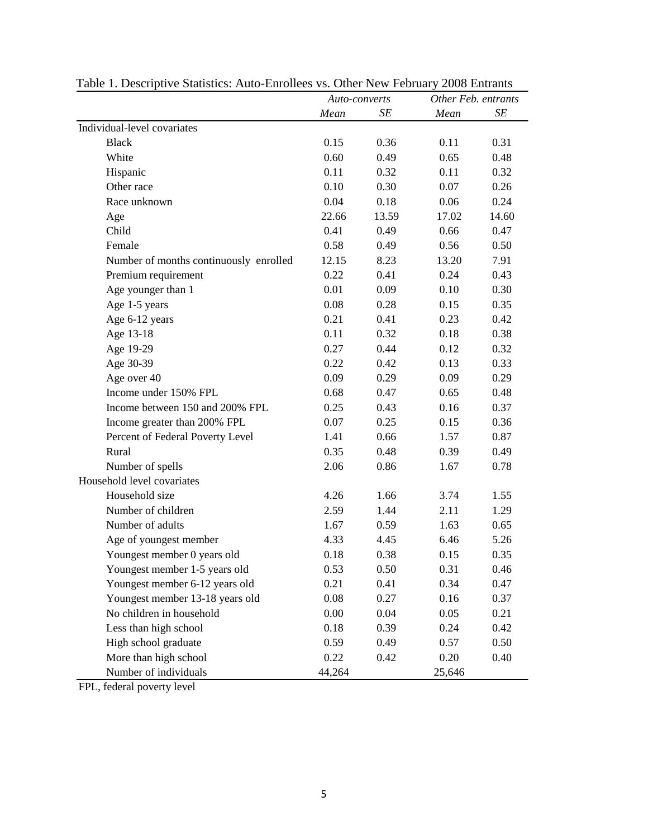|                                        | Auto-converts |       | Other Feb. entrants |       |
|----------------------------------------|---------------|-------|---------------------|-------|
|                                        | Mean          | SE    | Mean                | SE    |
| Individual-level covariates            |               |       |                     |       |
| <b>Black</b>                           | 0.15          | 0.36  | 0.11                | 0.31  |
| White                                  | 0.60          | 0.49  | 0.65                | 0.48  |
| Hispanic                               | 0.11          | 0.32  | 0.11                | 0.32  |
| Other race                             | 0.10          | 0.30  | 0.07                | 0.26  |
| Race unknown                           | 0.04          | 0.18  | 0.06                | 0.24  |
| Age                                    | 22.66         | 13.59 | 17.02               | 14.60 |
| Child                                  | 0.41          | 0.49  | 0.66                | 0.47  |
| Female                                 | 0.58          | 0.49  | 0.56                | 0.50  |
| Number of months continuously enrolled | 12.15         | 8.23  | 13.20               | 7.91  |
| Premium requirement                    | 0.22          | 0.41  | 0.24                | 0.43  |
| Age younger than 1                     | 0.01          | 0.09  | 0.10                | 0.30  |
| Age 1-5 years                          | 0.08          | 0.28  | 0.15                | 0.35  |
| Age 6-12 years                         | 0.21          | 0.41  | 0.23                | 0.42  |
| Age 13-18                              | 0.11          | 0.32  | 0.18                | 0.38  |
| Age 19-29                              | 0.27          | 0.44  | 0.12                | 0.32  |
| Age 30-39                              | 0.22          | 0.42  | 0.13                | 0.33  |
| Age over 40                            | 0.09          | 0.29  | 0.09                | 0.29  |
| Income under 150% FPL                  | 0.68          | 0.47  | 0.65                | 0.48  |
| Income between 150 and 200% FPL        | 0.25          | 0.43  | 0.16                | 0.37  |
| Income greater than 200% FPL           | 0.07          | 0.25  | 0.15                | 0.36  |
| Percent of Federal Poverty Level       | 1.41          | 0.66  | 1.57                | 0.87  |
| Rural                                  | 0.35          | 0.48  | 0.39                | 0.49  |
| Number of spells                       | 2.06          | 0.86  | 1.67                | 0.78  |
| Household level covariates             |               |       |                     |       |
| Household size                         | 4.26          | 1.66  | 3.74                | 1.55  |
| Number of children                     | 2.59          | 1.44  | 2.11                | 1.29  |
| Number of adults                       | 1.67          | 0.59  | 1.63                | 0.65  |
| Age of youngest member                 | 4.33          | 4.45  | 6.46                | 5.26  |
| Youngest member 0 years old            | 0.18          | 0.38  | 0.15                | 0.35  |
| Youngest member 1-5 years old          | 0.53          | 0.50  | 0.31                | 0.46  |
| Youngest member 6-12 years old         | 0.21          | 0.41  | 0.34                | 0.47  |
| Youngest member 13-18 years old        | 0.08          | 0.27  | 0.16                | 0.37  |
| No children in household               | 0.00          | 0.04  | 0.05                | 0.21  |
| Less than high school                  | 0.18          | 0.39  | 0.24                | 0.42  |
| High school graduate                   | 0.59          | 0.49  | 0.57                | 0.50  |
| More than high school                  | 0.22          | 0.42  | 0.20                | 0.40  |
| Number of individuals                  | 44,264        |       | 25,646              |       |

Table 1. Descriptive Statistics: Auto-Enrollees vs. Other New February 2008 Entrants

FPL, federal poverty level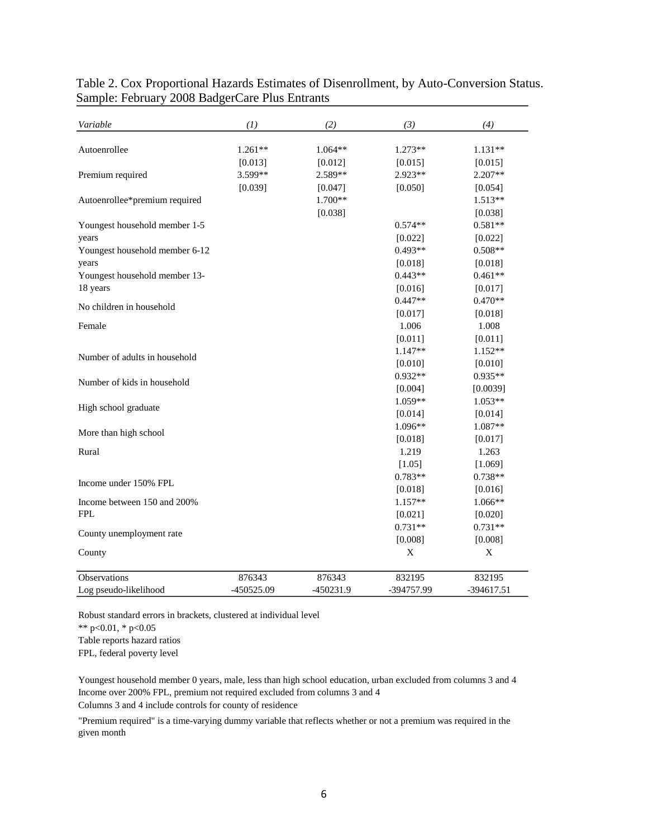| Variable                       | (I)        | (2)       | (3)        | (4)         |
|--------------------------------|------------|-----------|------------|-------------|
| Autoenrollee                   | $1.261**$  | $1.064**$ | $1.273**$  | $1.131**$   |
|                                | [0.013]    | [0.012]   | [0.015]    | [0.015]     |
| Premium required               | 3.599**    | 2.589**   | 2.923**    | $2.207**$   |
|                                | [0.039]    | [0.047]   | [0.050]    | [0.054]     |
| Autoenrollee*premium required  |            | 1.700**   |            | $1.513**$   |
|                                |            | [0.038]   |            | [0.038]     |
| Youngest household member 1-5  |            |           | $0.574**$  | $0.581**$   |
| years                          |            |           | [0.022]    | [0.022]     |
| Youngest household member 6-12 |            |           | $0.493**$  | $0.508**$   |
| years                          |            |           | [0.018]    | [0.018]     |
| Youngest household member 13-  |            |           | $0.443**$  | $0.461**$   |
| 18 years                       |            |           | [0.016]    | [0.017]     |
|                                |            |           | $0.447**$  | $0.470**$   |
| No children in household       |            |           | [0.017]    | [0.018]     |
| Female                         |            |           | 1.006      | 1.008       |
|                                |            |           | [0.011]    | [0.011]     |
|                                |            |           | $1.147**$  | 1.152**     |
| Number of adults in household  |            |           | [0.010]    | [0.010]     |
|                                |            |           | $0.932**$  | $0.935**$   |
| Number of kids in household    |            |           | [0.004]    | [0.0039]    |
|                                |            |           | 1.059**    | $1.053**$   |
| High school graduate           |            |           | [0.014]    | [0.014]     |
|                                |            |           | 1.096**    | 1.087**     |
| More than high school          |            |           | [0.018]    | [0.017]     |
| Rural                          |            |           | 1.219      | 1.263       |
|                                |            |           | [1.05]     | [1.069]     |
|                                |            |           | $0.783**$  | $0.738**$   |
| Income under 150% FPL          |            |           | [0.018]    | [0.016]     |
| Income between 150 and 200%    |            |           | 1.157**    | 1.066**     |
| <b>FPL</b>                     |            |           | [0.021]    | [0.020]     |
|                                |            |           | $0.731**$  | $0.731**$   |
| County unemployment rate       |            |           | [0.008]    | [0.008]     |
| County                         |            |           | X          | $\mathbf X$ |
| Observations                   | 876343     | 876343    | 832195     | 832195      |
| Log pseudo-likelihood          | -450525.09 | -450231.9 | -394757.99 | -394617.51  |

Table 2. Cox Proportional Hazards Estimates of Disenrollment, by Auto-Conversion Status. Sample: February 2008 BadgerCare Plus Entrants

Robust standard errors in brackets, clustered at individual level

\*\* p<0.01, \* p<0.05

Table reports hazard ratios

FPL, federal poverty level

Income over 200% FPL, premium not required excluded from columns 3 and 4 Youngest household member 0 years, male, less than high school education, urban excluded from columns 3 and 4

Columns 3 and 4 include controls for county of residence

"Premium required" is a time-varying dummy variable that reflects whether or not a premium was required in the given month